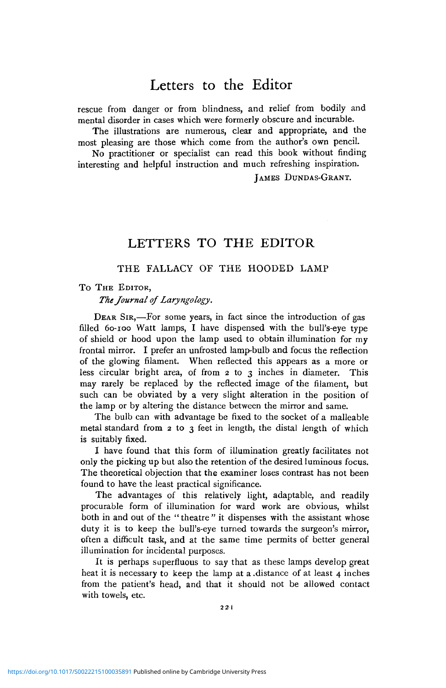# Letters to the Editor

rescue from danger or from blindness, and relief from bodily and mental disorder in cases which were formerly obscure and incurable.

The illustrations are numerous, clear and appropriate, and the most pleasing are those which come from the author's own pencil.

No practitioner or specialist can read this book without finding interesting and helpful instruction and much refreshing inspiration.

JAMES DUNDAS-GRANT.

## LETTERS TO THE EDITOR

### THE FALLACY OF THE HOODED LAMP

#### To THE EDITOR,

*The Journal of Laryngology.*

DEAR SIR,—For some years, in fact since the introduction of gas filled 60-100 Watt lamps, I have dispensed with the bull's-eye type of shield or hood upon the lamp used to obtain illumination for my frontal mirror. I prefer an unfrosted lamp-bulb and focus the reflection of the glowing filament. When reflected this appears as a more or less circular bright area, of from 2 to 3 inches in diameter. This may rarely be replaced by the reflected image of the filament, but such can be obviated by a very slight alteration in the position of the lamp or by altering the distance between the mirror and same.

The bulb can with advantage be fixed to the socket of a malleable metal standard from  $2$  to  $3$  feet in length, the distal length of which is suitably fixed.

I have found that this form of illumination greatly facilitates not only the picking up but also the retention of the desired luminous focus. The theoretical objection that the examiner loses contrast has not been found to have the least practical significance.

The advantages of this relatively light, adaptable, and readily procurable form of illumination for ward work are obvious, whilst both in and out of the "theatre" it dispenses with the assistant whose duty it is to keep the bull's-eye turned towards the surgeon's mirror, often a difficult task, and at the same time permits of better general illumination for incidental purposes.

It is perhaps superfluous to say that as these lamps develop great heat it is necessary to keep the lamp at a .distance of at least 4 inches from the patient's head, and that it should not be allowed contact with towels, etc.